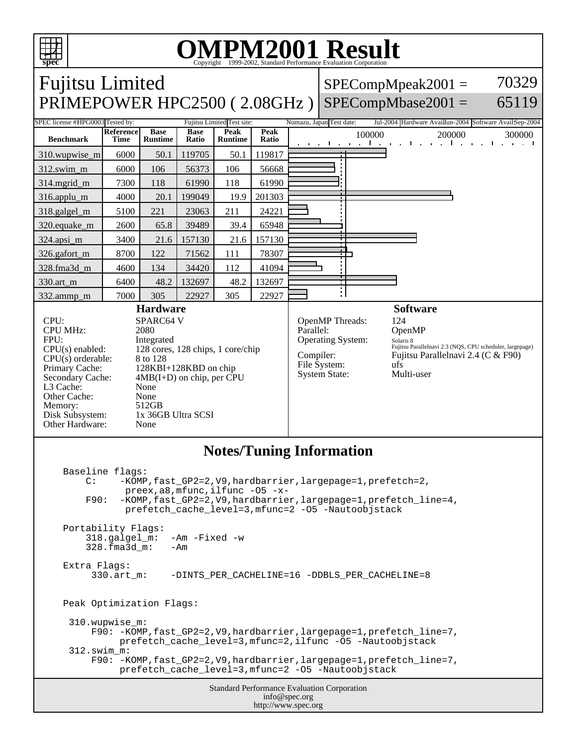

## OMPM2001 Result to Evaluation Corporation

| PRIMEPOWER HPC2500 (2.08GHz)<br>$SPECompMbase2001 =$<br>SPEC license #HPG0003 Tested by:<br>Numazu, Japan Test date:<br>Fujitsu Limited Test site:<br><b>Peak</b><br>Reference<br><b>Base</b><br>Peak<br><b>Base</b><br>100000<br>200000<br><b>Benchmark</b><br>Ratio<br>Time<br><b>Runtime</b><br><b>Runtime</b><br>Ratio<br>and the control of the control<br>.<br>119817<br>6000<br>50.1<br>119705<br>50.1<br>310.wupwise_m<br>312.swim_m<br>6000<br>106<br>56668<br>106<br>56373<br>314.mgrid_m<br>7300<br>118<br>61990<br>118<br>61990<br>4000<br>199049<br>201303<br>316.applu_m<br>20.1<br>19.9<br>211<br>24221<br>5100<br>221<br>23063<br>318.galgel_m<br>39489<br>39.4<br>65948<br>320.equake_m<br>2600<br>65.8<br>157130<br>3400<br>157130<br>21.6<br>324.apsi_m<br>21.6<br>8700<br>111<br>78307<br>326.gafort_m<br>122<br>71562<br>134<br>112<br>41094<br>328.fma3d_m<br>4600<br>34420<br>132697<br>330.art_m<br>6400<br>48.2<br>132697<br>48.2<br>305<br>22927<br>7000<br>305<br>22927<br>332.ammp_m<br><b>Software</b><br><b>Hardware</b><br>CPU:<br>OpenMP Threads:<br>124<br><b>SPARC64 V</b><br><b>CPU MHz:</b><br>Parallel:<br>2080<br>OpenMP<br>FPU:<br><b>Operating System:</b><br>Integrated<br>Solaris 8<br>CPU(s) enabled:<br>128 cores, 128 chips, 1 core/chip<br>Compiler:<br>$CPU(s)$ orderable:<br>8 to 128<br>File System:<br>ufs<br>Primary Cache:<br>128KBI+128KBD on chip<br>Multi-user<br><b>System State:</b><br>$4MB(I+D)$ on chip, per CPU<br>Secondary Cache:<br>L3 Cache:<br>None<br>Other Cache:<br>None<br>Memory:<br>512GB<br>1x 36GB Ultra SCSI<br>Disk Subsystem:<br>Other Hardware:<br>None<br><b>Notes/Tuning Information</b><br>Baseline flags:<br>$\mathcal{C}$ :<br>-KOMP, fast_GP2=2, V9, hardbarrier, largepage=1, prefetch=2,<br>$\text{preex}, \text{a8}, \text{mfunc}, \text{ilfunc } -05 - x-$<br>-KOMP, fast_GP2=2, V9, hardbarrier, largepage=1, prefetch_line=4,<br>F90:<br>prefetch_cache_level=3, mfunc=2 -05 -Nautoobjstack<br>Portability Flags:<br>318.galgel_m:<br>$-Am$ -Fixed -w<br>328.fma3d_m:<br>-Am<br>Extra Flags:<br>-DINTS_PER_CACHELINE=16 -DDBLS_PER_CACHELINE=8<br>$330.\text{art } m$ :<br>Peak Optimization Flags:<br>310.wupwise_m:<br>F90: -KOMP, fast_GP2=2, V9, hardbarrier, largepage=1, prefetch_line=7,<br>prefetch_cache_level=3, mfunc=2, ilfunc -05 -Nautoobjstack<br>$312.\text{swim m}:$<br>F90: -KOMP, fast_GP2=2, V9, hardbarrier, largepage=1, prefetch_line=7,<br>prefetch_cache_level=3, mfunc=2 -05 -Nautoobjstack | <b>Fujitsu Limited</b> |  |  |  |  |  |                                                                                                |  | 70329<br>$SPECompMpeak2001 =$                          |  |
|-----------------------------------------------------------------------------------------------------------------------------------------------------------------------------------------------------------------------------------------------------------------------------------------------------------------------------------------------------------------------------------------------------------------------------------------------------------------------------------------------------------------------------------------------------------------------------------------------------------------------------------------------------------------------------------------------------------------------------------------------------------------------------------------------------------------------------------------------------------------------------------------------------------------------------------------------------------------------------------------------------------------------------------------------------------------------------------------------------------------------------------------------------------------------------------------------------------------------------------------------------------------------------------------------------------------------------------------------------------------------------------------------------------------------------------------------------------------------------------------------------------------------------------------------------------------------------------------------------------------------------------------------------------------------------------------------------------------------------------------------------------------------------------------------------------------------------------------------------------------------------------------------------------------------------------------------------------------------------------------------------------------------------------------------------------------------------------------------------------------------------------------------------------------------------------------------------------------------------------------------------------------------------------------------------------------------------------------------------------------------------------------------------------------------------------------------------------------------------------------------------------------|------------------------|--|--|--|--|--|------------------------------------------------------------------------------------------------|--|--------------------------------------------------------|--|
|                                                                                                                                                                                                                                                                                                                                                                                                                                                                                                                                                                                                                                                                                                                                                                                                                                                                                                                                                                                                                                                                                                                                                                                                                                                                                                                                                                                                                                                                                                                                                                                                                                                                                                                                                                                                                                                                                                                                                                                                                                                                                                                                                                                                                                                                                                                                                                                                                                                                                                                 | 65119                  |  |  |  |  |  |                                                                                                |  |                                                        |  |
|                                                                                                                                                                                                                                                                                                                                                                                                                                                                                                                                                                                                                                                                                                                                                                                                                                                                                                                                                                                                                                                                                                                                                                                                                                                                                                                                                                                                                                                                                                                                                                                                                                                                                                                                                                                                                                                                                                                                                                                                                                                                                                                                                                                                                                                                                                                                                                                                                                                                                                                 |                        |  |  |  |  |  |                                                                                                |  | Jul-2004 Hardware Availlun-2004 Software AvailSep-2004 |  |
|                                                                                                                                                                                                                                                                                                                                                                                                                                                                                                                                                                                                                                                                                                                                                                                                                                                                                                                                                                                                                                                                                                                                                                                                                                                                                                                                                                                                                                                                                                                                                                                                                                                                                                                                                                                                                                                                                                                                                                                                                                                                                                                                                                                                                                                                                                                                                                                                                                                                                                                 |                        |  |  |  |  |  |                                                                                                |  | 300000<br>and the first state                          |  |
|                                                                                                                                                                                                                                                                                                                                                                                                                                                                                                                                                                                                                                                                                                                                                                                                                                                                                                                                                                                                                                                                                                                                                                                                                                                                                                                                                                                                                                                                                                                                                                                                                                                                                                                                                                                                                                                                                                                                                                                                                                                                                                                                                                                                                                                                                                                                                                                                                                                                                                                 |                        |  |  |  |  |  |                                                                                                |  |                                                        |  |
|                                                                                                                                                                                                                                                                                                                                                                                                                                                                                                                                                                                                                                                                                                                                                                                                                                                                                                                                                                                                                                                                                                                                                                                                                                                                                                                                                                                                                                                                                                                                                                                                                                                                                                                                                                                                                                                                                                                                                                                                                                                                                                                                                                                                                                                                                                                                                                                                                                                                                                                 |                        |  |  |  |  |  |                                                                                                |  |                                                        |  |
|                                                                                                                                                                                                                                                                                                                                                                                                                                                                                                                                                                                                                                                                                                                                                                                                                                                                                                                                                                                                                                                                                                                                                                                                                                                                                                                                                                                                                                                                                                                                                                                                                                                                                                                                                                                                                                                                                                                                                                                                                                                                                                                                                                                                                                                                                                                                                                                                                                                                                                                 |                        |  |  |  |  |  |                                                                                                |  |                                                        |  |
|                                                                                                                                                                                                                                                                                                                                                                                                                                                                                                                                                                                                                                                                                                                                                                                                                                                                                                                                                                                                                                                                                                                                                                                                                                                                                                                                                                                                                                                                                                                                                                                                                                                                                                                                                                                                                                                                                                                                                                                                                                                                                                                                                                                                                                                                                                                                                                                                                                                                                                                 |                        |  |  |  |  |  |                                                                                                |  |                                                        |  |
|                                                                                                                                                                                                                                                                                                                                                                                                                                                                                                                                                                                                                                                                                                                                                                                                                                                                                                                                                                                                                                                                                                                                                                                                                                                                                                                                                                                                                                                                                                                                                                                                                                                                                                                                                                                                                                                                                                                                                                                                                                                                                                                                                                                                                                                                                                                                                                                                                                                                                                                 |                        |  |  |  |  |  |                                                                                                |  |                                                        |  |
|                                                                                                                                                                                                                                                                                                                                                                                                                                                                                                                                                                                                                                                                                                                                                                                                                                                                                                                                                                                                                                                                                                                                                                                                                                                                                                                                                                                                                                                                                                                                                                                                                                                                                                                                                                                                                                                                                                                                                                                                                                                                                                                                                                                                                                                                                                                                                                                                                                                                                                                 |                        |  |  |  |  |  |                                                                                                |  |                                                        |  |
|                                                                                                                                                                                                                                                                                                                                                                                                                                                                                                                                                                                                                                                                                                                                                                                                                                                                                                                                                                                                                                                                                                                                                                                                                                                                                                                                                                                                                                                                                                                                                                                                                                                                                                                                                                                                                                                                                                                                                                                                                                                                                                                                                                                                                                                                                                                                                                                                                                                                                                                 |                        |  |  |  |  |  |                                                                                                |  |                                                        |  |
|                                                                                                                                                                                                                                                                                                                                                                                                                                                                                                                                                                                                                                                                                                                                                                                                                                                                                                                                                                                                                                                                                                                                                                                                                                                                                                                                                                                                                                                                                                                                                                                                                                                                                                                                                                                                                                                                                                                                                                                                                                                                                                                                                                                                                                                                                                                                                                                                                                                                                                                 |                        |  |  |  |  |  |                                                                                                |  |                                                        |  |
|                                                                                                                                                                                                                                                                                                                                                                                                                                                                                                                                                                                                                                                                                                                                                                                                                                                                                                                                                                                                                                                                                                                                                                                                                                                                                                                                                                                                                                                                                                                                                                                                                                                                                                                                                                                                                                                                                                                                                                                                                                                                                                                                                                                                                                                                                                                                                                                                                                                                                                                 |                        |  |  |  |  |  |                                                                                                |  |                                                        |  |
|                                                                                                                                                                                                                                                                                                                                                                                                                                                                                                                                                                                                                                                                                                                                                                                                                                                                                                                                                                                                                                                                                                                                                                                                                                                                                                                                                                                                                                                                                                                                                                                                                                                                                                                                                                                                                                                                                                                                                                                                                                                                                                                                                                                                                                                                                                                                                                                                                                                                                                                 |                        |  |  |  |  |  |                                                                                                |  |                                                        |  |
|                                                                                                                                                                                                                                                                                                                                                                                                                                                                                                                                                                                                                                                                                                                                                                                                                                                                                                                                                                                                                                                                                                                                                                                                                                                                                                                                                                                                                                                                                                                                                                                                                                                                                                                                                                                                                                                                                                                                                                                                                                                                                                                                                                                                                                                                                                                                                                                                                                                                                                                 |                        |  |  |  |  |  |                                                                                                |  |                                                        |  |
|                                                                                                                                                                                                                                                                                                                                                                                                                                                                                                                                                                                                                                                                                                                                                                                                                                                                                                                                                                                                                                                                                                                                                                                                                                                                                                                                                                                                                                                                                                                                                                                                                                                                                                                                                                                                                                                                                                                                                                                                                                                                                                                                                                                                                                                                                                                                                                                                                                                                                                                 |                        |  |  |  |  |  | Fujitsu Parallelnavi 2.3 (NQS, CPU scheduler, largepage)<br>Fujitsu Parallelnavi 2.4 (C & F90) |  |                                                        |  |
|                                                                                                                                                                                                                                                                                                                                                                                                                                                                                                                                                                                                                                                                                                                                                                                                                                                                                                                                                                                                                                                                                                                                                                                                                                                                                                                                                                                                                                                                                                                                                                                                                                                                                                                                                                                                                                                                                                                                                                                                                                                                                                                                                                                                                                                                                                                                                                                                                                                                                                                 |                        |  |  |  |  |  |                                                                                                |  |                                                        |  |
| <b>Standard Performance Evaluation Corporation</b><br>info@spec.org<br>http://www.spec.org                                                                                                                                                                                                                                                                                                                                                                                                                                                                                                                                                                                                                                                                                                                                                                                                                                                                                                                                                                                                                                                                                                                                                                                                                                                                                                                                                                                                                                                                                                                                                                                                                                                                                                                                                                                                                                                                                                                                                                                                                                                                                                                                                                                                                                                                                                                                                                                                                      |                        |  |  |  |  |  |                                                                                                |  |                                                        |  |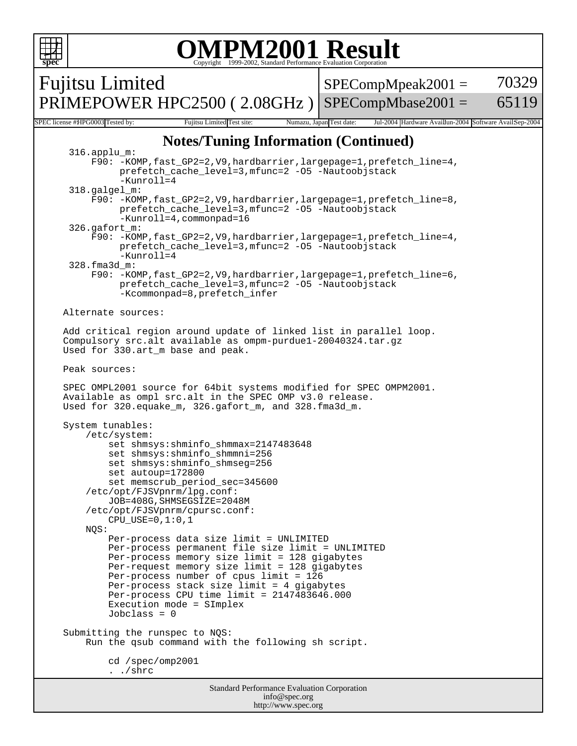

info@spec.org http://www.spec.org